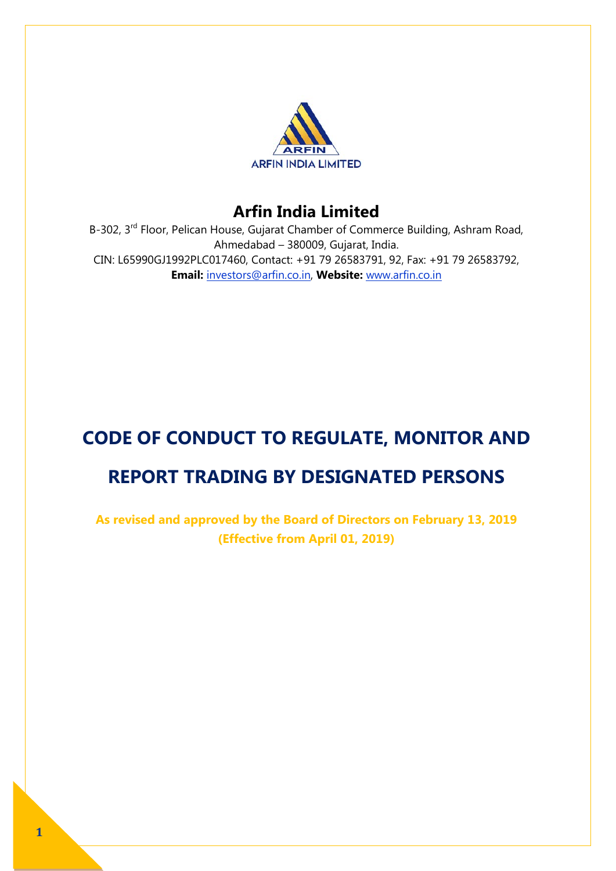

B-302, 3<sup>rd</sup> Floor, Pelican House, Gujarat Chamber of Commerce Building, Ashram Road, Ahmedabad – 380009, Gujarat, India. CIN: L65990GJ1992PLC017460, Contact: +91 79 26583791, 92, Fax: +91 79 26583792, **Email:** investors@arfin.co.in, **Website:** www.arfin.co.in

# **CODE OF CONDUCT TO REGULATE, MONITOR AND REPORT TRADING BY DESIGNATED PERSONS**

**As revised and approved by the Board of Directors on February 13, 2019 (Effective from April 01, 2019)**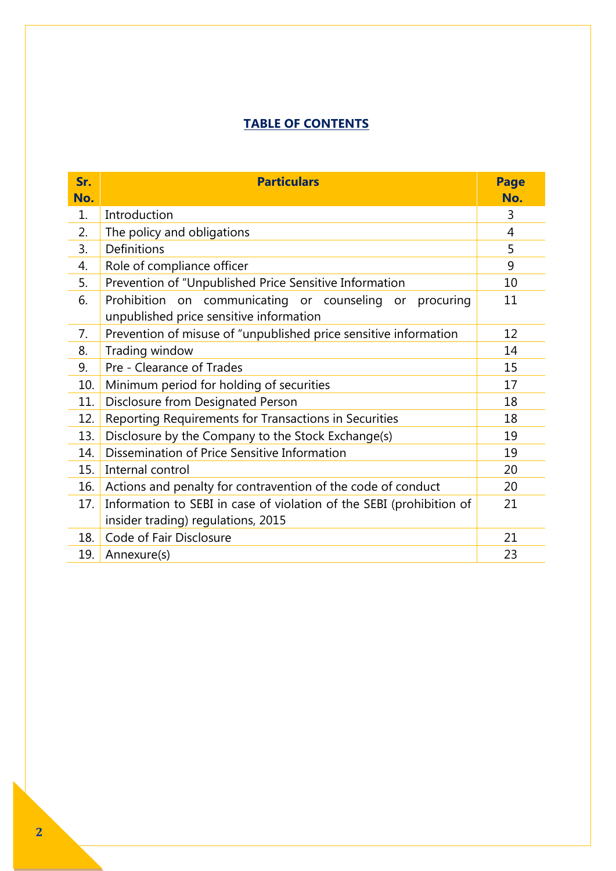# **TABLE OF CONTENTS**

| Sr. | <b>Particulars</b>                                                                                         | <b>Page</b>    |
|-----|------------------------------------------------------------------------------------------------------------|----------------|
| No. |                                                                                                            | No.            |
| 1.  | Introduction                                                                                               | 3              |
| 2.  | The policy and obligations                                                                                 | $\overline{4}$ |
| 3.  | Definitions                                                                                                | 5              |
| 4.  | Role of compliance officer                                                                                 | 9              |
| 5.  | Prevention of "Unpublished Price Sensitive Information                                                     | 10             |
| 6.  | Prohibition on communicating or counseling or<br>procuring<br>unpublished price sensitive information      | 11             |
| 7.  | Prevention of misuse of "unpublished price sensitive information                                           | 12             |
| 8.  | Trading window                                                                                             | 14             |
| 9.  | Pre - Clearance of Trades                                                                                  | 15             |
| 10. | Minimum period for holding of securities                                                                   | 17             |
| 11. | Disclosure from Designated Person                                                                          | 18             |
| 12. | Reporting Requirements for Transactions in Securities                                                      | 18             |
| 13. | Disclosure by the Company to the Stock Exchange(s)                                                         | 19             |
| 14. | Dissemination of Price Sensitive Information                                                               | 19             |
| 15. | Internal control                                                                                           | 20             |
| 16. | Actions and penalty for contravention of the code of conduct                                               | 20             |
| 17. | Information to SEBI in case of violation of the SEBI (prohibition of<br>insider trading) regulations, 2015 | 21             |
| 18. | Code of Fair Disclosure                                                                                    | 21             |
| 19. | Annexure(s)                                                                                                | 23             |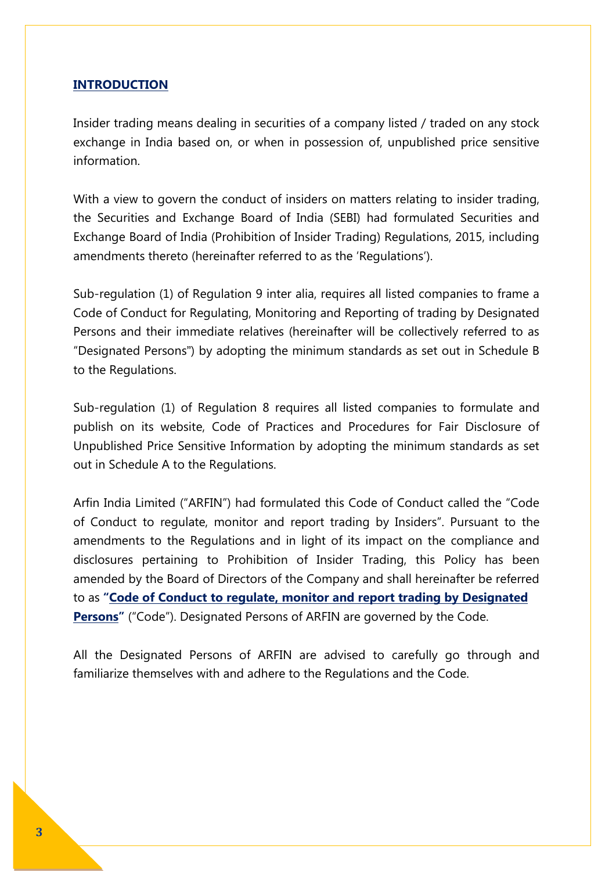### **INTRODUCTION**

Insider trading means dealing in securities of a company listed / traded on any stock exchange in India based on, or when in possession of, unpublished price sensitive information.

With a view to govern the conduct of insiders on matters relating to insider trading, the Securities and Exchange Board of India (SEBI) had formulated Securities and Exchange Board of India (Prohibition of Insider Trading) Regulations, 2015, including amendments thereto (hereinafter referred to as the 'Regulations').

Sub-regulation (1) of Regulation 9 inter alia, requires all listed companies to frame a Code of Conduct for Regulating, Monitoring and Reporting of trading by Designated Persons and their immediate relatives (hereinafter will be collectively referred to as "Designated Persons") by adopting the minimum standards as set out in Schedule B to the Regulations.

Sub-regulation (1) of Regulation 8 requires all listed companies to formulate and publish on its website, Code of Practices and Procedures for Fair Disclosure of Unpublished Price Sensitive Information by adopting the minimum standards as set out in Schedule A to the Regulations.

Arfin India Limited ("ARFIN") had formulated this Code of Conduct called the "Code of Conduct to regulate, monitor and report trading by Insiders". Pursuant to the amendments to the Regulations and in light of its impact on the compliance and disclosures pertaining to Prohibition of Insider Trading, this Policy has been amended by the Board of Directors of the Company and shall hereinafter be referred to as **"Code of Conduct to regulate, monitor and report trading by Designated Persons"** ("Code"). Designated Persons of ARFIN are governed by the Code.

All the Designated Persons of ARFIN are advised to carefully go through and familiarize themselves with and adhere to the Regulations and the Code.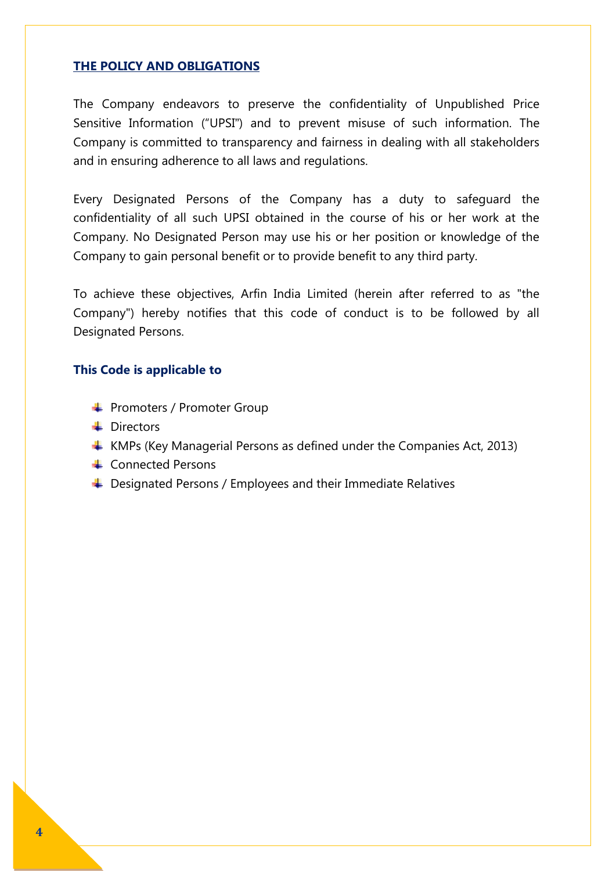#### **THE POLICY AND OBLIGATIONS**

The Company endeavors to preserve the confidentiality of Unpublished Price Sensitive Information ("UPSI") and to prevent misuse of such information. The Company is committed to transparency and fairness in dealing with all stakeholders and in ensuring adherence to all laws and regulations.

Every Designated Persons of the Company has a duty to safeguard the confidentiality of all such UPSI obtained in the course of his or her work at the Company. No Designated Person may use his or her position or knowledge of the Company to gain personal benefit or to provide benefit to any third party.

To achieve these objectives, Arfin India Limited (herein after referred to as "the Company") hereby notifies that this code of conduct is to be followed by all Designated Persons.

### **This Code is applicable to**

- **← Promoters / Promoter Group**
- **Directors**
- $\uparrow$  KMPs (Key Managerial Persons as defined under the Companies Act, 2013)
- **← Connected Persons**
- $\triangleq$  Designated Persons / Employees and their Immediate Relatives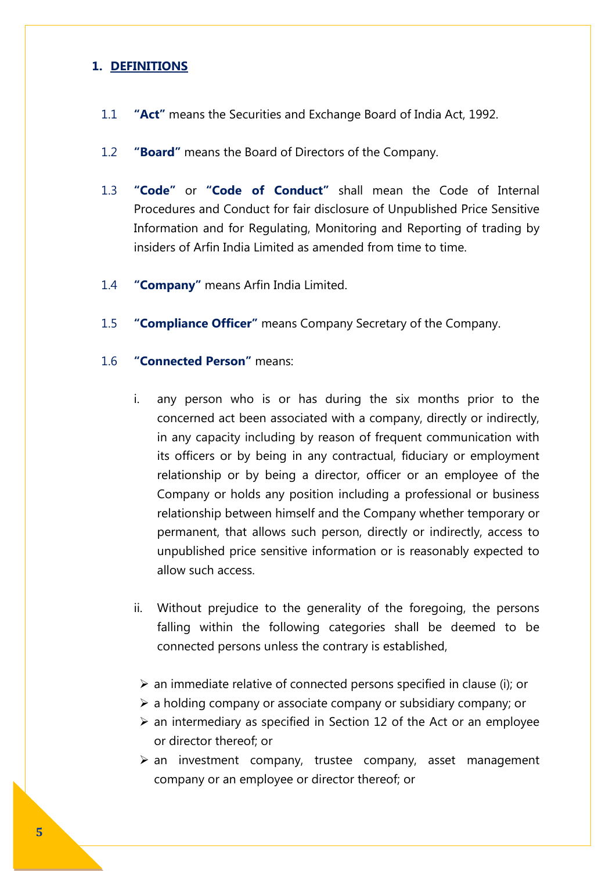## **1. DEFINITIONS**

- 1.1 **"Act"** means the Securities and Exchange Board of India Act, 1992.
- 1.2 **"Board"** means the Board of Directors of the Company.
- 1.3 **"Code"** or **"Code of Conduct"** shall mean the Code of Internal Procedures and Conduct for fair disclosure of Unpublished Price Sensitive Information and for Regulating, Monitoring and Reporting of trading by insiders of Arfin India Limited as amended from time to time.
- 1.4 **"Company"** means Arfin India Limited.
- 1.5 **"Compliance Officer"** means Company Secretary of the Company.

## 1.6 **"Connected Person"** means:

- i. any person who is or has during the six months prior to the concerned act been associated with a company, directly or indirectly, in any capacity including by reason of frequent communication with its officers or by being in any contractual, fiduciary or employment relationship or by being a director, officer or an employee of the Company or holds any position including a professional or business relationship between himself and the Company whether temporary or permanent, that allows such person, directly or indirectly, access to unpublished price sensitive information or is reasonably expected to allow such access.
- ii. Without prejudice to the generality of the foregoing, the persons falling within the following categories shall be deemed to be connected persons unless the contrary is established,
- $\triangleright$  an immediate relative of connected persons specified in clause (i); or
- $\triangleright$  a holding company or associate company or subsidiary company; or
- $\geq$  an intermediary as specified in Section 12 of the Act or an employee or director thereof; or
- $\triangleright$  an investment company, trustee company, asset management company or an employee or director thereof; or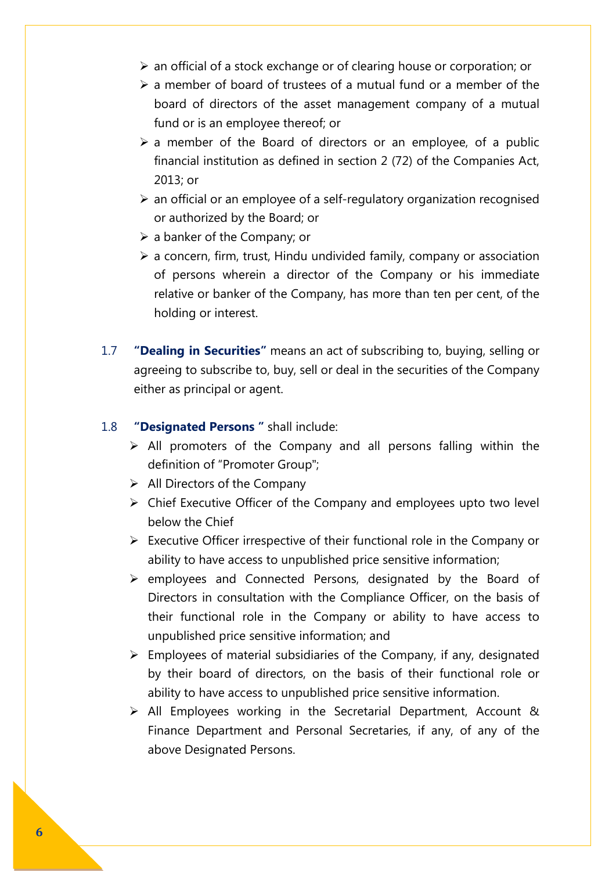- $\triangleright$  an official of a stock exchange or of clearing house or corporation; or
- $\geq$  a member of board of trustees of a mutual fund or a member of the board of directors of the asset management company of a mutual fund or is an employee thereof; or
- $\geq$  a member of the Board of directors or an employee, of a public financial institution as defined in section 2 (72) of the Companies Act, 2013; or
- $\triangleright$  an official or an employee of a self-regulatory organization recognised or authorized by the Board; or
- $\triangleright$  a banker of the Company; or
- $\triangleright$  a concern, firm, trust, Hindu undivided family, company or association of persons wherein a director of the Company or his immediate relative or banker of the Company, has more than ten per cent, of the holding or interest.
- 1.7 **"Dealing in Securities"** means an act of subscribing to, buying, selling or agreeing to subscribe to, buy, sell or deal in the securities of the Company either as principal or agent.
- 1.8 **"Designated Persons "** shall include:
	- $\triangleright$  All promoters of the Company and all persons falling within the definition of "Promoter Group";
	- $\triangleright$  All Directors of the Company
	- Chief Executive Officer of the Company and employees upto two level below the Chief
	- $\triangleright$  Executive Officer irrespective of their functional role in the Company or ability to have access to unpublished price sensitive information;
	- $\triangleright$  employees and Connected Persons, designated by the Board of Directors in consultation with the Compliance Officer, on the basis of their functional role in the Company or ability to have access to unpublished price sensitive information; and
	- $\triangleright$  Employees of material subsidiaries of the Company, if any, designated by their board of directors, on the basis of their functional role or ability to have access to unpublished price sensitive information.
	- $\triangleright$  All Employees working in the Secretarial Department, Account & Finance Department and Personal Secretaries, if any, of any of the above Designated Persons.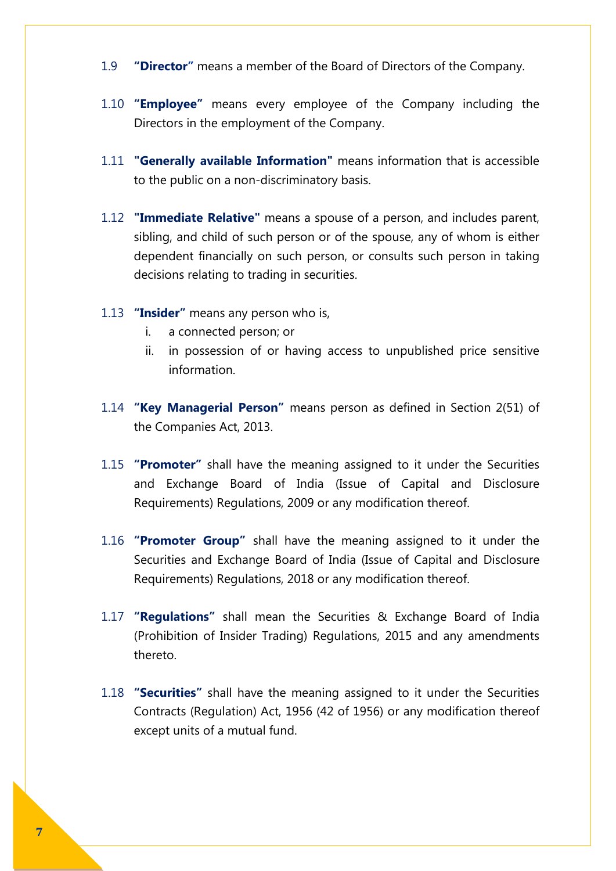- 1.9 **"Director"** means a member of the Board of Directors of the Company.
- 1.10 **"Employee"** means every employee of the Company including the Directors in the employment of the Company.
- 1.11 **"Generally available Information"** means information that is accessible to the public on a non-discriminatory basis.
- 1.12 **"Immediate Relative"** means a spouse of a person, and includes parent, sibling, and child of such person or of the spouse, any of whom is either dependent financially on such person, or consults such person in taking decisions relating to trading in securities.
- 1.13 **"Insider"** means any person who is,
	- i. a connected person; or
	- ii. in possession of or having access to unpublished price sensitive information.
- 1.14 **"Key Managerial Person"** means person as defined in Section 2(51) of the Companies Act, 2013.
- 1.15 **"Promoter"** shall have the meaning assigned to it under the Securities and Exchange Board of India (Issue of Capital and Disclosure Requirements) Regulations, 2009 or any modification thereof.
- 1.16 **"Promoter Group"** shall have the meaning assigned to it under the Securities and Exchange Board of India (Issue of Capital and Disclosure Requirements) Regulations, 2018 or any modification thereof.
- 1.17 **"Regulations"** shall mean the Securities & Exchange Board of India (Prohibition of Insider Trading) Regulations, 2015 and any amendments thereto.
- 1.18 **"Securities"** shall have the meaning assigned to it under the Securities Contracts (Regulation) Act, 1956 (42 of 1956) or any modification thereof except units of a mutual fund.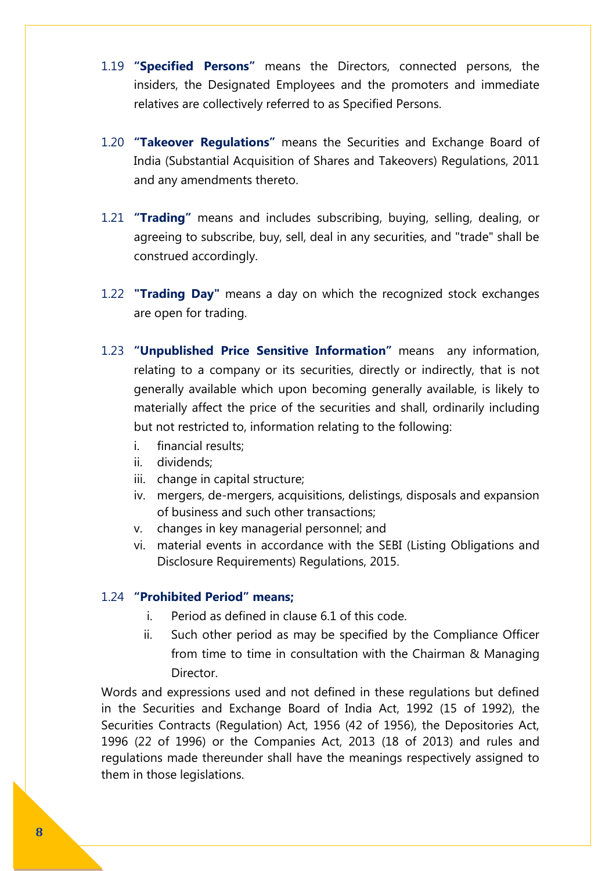- 1.19 **"Specified Persons"** means the Directors, connected persons, the insiders, the Designated Employees and the promoters and immediate relatives are collectively referred to as Specified Persons.
- 1.20 **"Takeover Regulations"** means the Securities and Exchange Board of India (Substantial Acquisition of Shares and Takeovers) Regulations, 2011 and any amendments thereto.
- 1.21 **"Trading"** means and includes subscribing, buying, selling, dealing, or agreeing to subscribe, buy, sell, deal in any securities, and "trade" shall be construed accordingly.
- 1.22 **"Trading Day"** means a day on which the recognized stock exchanges are open for trading.
- 1.23 **"Unpublished Price Sensitive Information"** means any information, relating to a company or its securities, directly or indirectly, that is not generally available which upon becoming generally available, is likely to materially affect the price of the securities and shall, ordinarily including but not restricted to, information relating to the following:
	- i. financial results;
	- ii. dividends;
	- iii. change in capital structure;
	- iv. mergers, de-mergers, acquisitions, delistings, disposals and expansion of business and such other transactions;
	- v. changes in key managerial personnel; and
	- vi. material events in accordance with the SEBI (Listing Obligations and Disclosure Requirements) Regulations, 2015.

## 1.24 **"Prohibited Period" means;**

- i. Period as defined in clause 6.1 of this code.
- ii. Such other period as may be specified by the Compliance Officer from time to time in consultation with the Chairman & Managing Director.

Words and expressions used and not defined in these regulations but defined in the Securities and Exchange Board of India Act, 1992 (15 of 1992), the Securities Contracts (Regulation) Act, 1956 (42 of 1956), the Depositories Act, 1996 (22 of 1996) or the Companies Act, 2013 (18 of 2013) and rules and regulations made thereunder shall have the meanings respectively assigned to them in those legislations.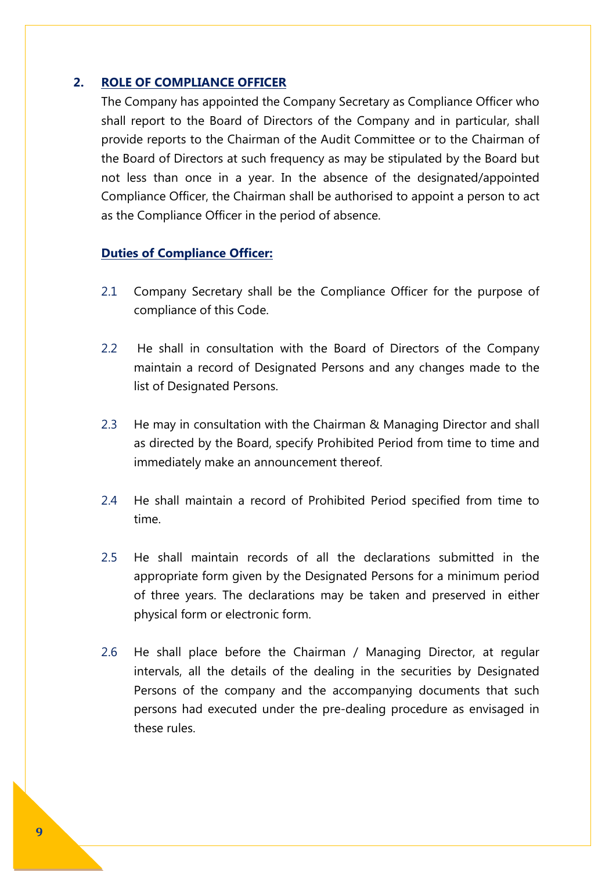## **2. ROLE OF COMPLIANCE OFFICER**

The Company has appointed the Company Secretary as Compliance Officer who shall report to the Board of Directors of the Company and in particular, shall provide reports to the Chairman of the Audit Committee or to the Chairman of the Board of Directors at such frequency as may be stipulated by the Board but not less than once in a year. In the absence of the designated/appointed Compliance Officer, the Chairman shall be authorised to appoint a person to act as the Compliance Officer in the period of absence.

### **Duties of Compliance Officer:**

- 2.1 Company Secretary shall be the Compliance Officer for the purpose of compliance of this Code.
- 2.2 He shall in consultation with the Board of Directors of the Company maintain a record of Designated Persons and any changes made to the list of Designated Persons.
- 2.3 He may in consultation with the Chairman & Managing Director and shall as directed by the Board, specify Prohibited Period from time to time and immediately make an announcement thereof.
- 2.4 He shall maintain a record of Prohibited Period specified from time to time.
- 2.5 He shall maintain records of all the declarations submitted in the appropriate form given by the Designated Persons for a minimum period of three years. The declarations may be taken and preserved in either physical form or electronic form.
- 2.6 He shall place before the Chairman / Managing Director, at regular intervals, all the details of the dealing in the securities by Designated Persons of the company and the accompanying documents that such persons had executed under the pre-dealing procedure as envisaged in these rules.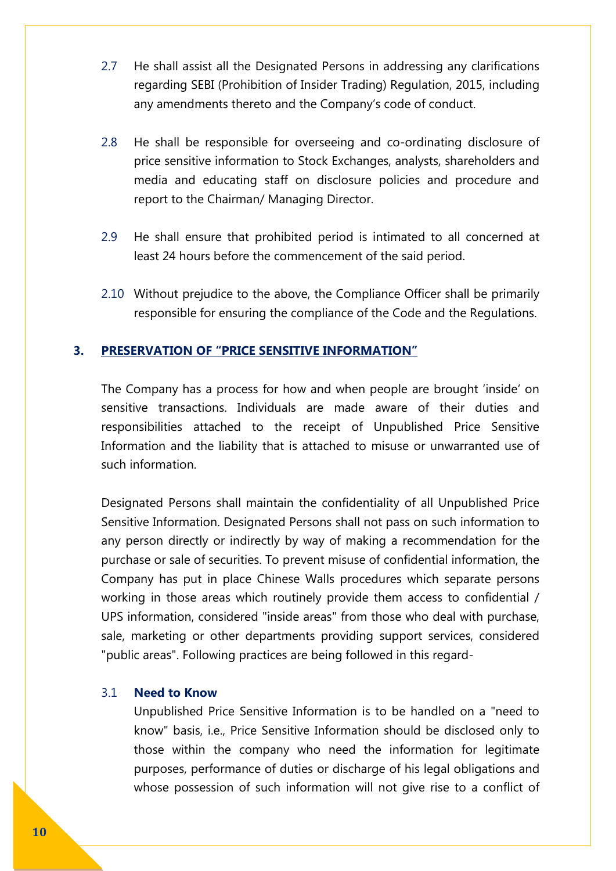- 2.7 He shall assist all the Designated Persons in addressing any clarifications regarding SEBI (Prohibition of Insider Trading) Regulation, 2015, including any amendments thereto and the Company's code of conduct.
- 2.8 He shall be responsible for overseeing and co-ordinating disclosure of price sensitive information to Stock Exchanges, analysts, shareholders and media and educating staff on disclosure policies and procedure and report to the Chairman/ Managing Director.
- 2.9 He shall ensure that prohibited period is intimated to all concerned at least 24 hours before the commencement of the said period.
- 2.10 Without prejudice to the above, the Compliance Officer shall be primarily responsible for ensuring the compliance of the Code and the Regulations.

## **3. PRESERVATION OF "PRICE SENSITIVE INFORMATION"**

The Company has a process for how and when people are brought 'inside' on sensitive transactions. Individuals are made aware of their duties and responsibilities attached to the receipt of Unpublished Price Sensitive Information and the liability that is attached to misuse or unwarranted use of such information.

Designated Persons shall maintain the confidentiality of all Unpublished Price Sensitive Information. Designated Persons shall not pass on such information to any person directly or indirectly by way of making a recommendation for the purchase or sale of securities. To prevent misuse of confidential information, the Company has put in place Chinese Walls procedures which separate persons working in those areas which routinely provide them access to confidential / UPS information, considered "inside areas" from those who deal with purchase, sale, marketing or other departments providing support services, considered "public areas". Following practices are being followed in this regard-

### 3.1 **Need to Know**

Unpublished Price Sensitive Information is to be handled on a "need to know" basis, i.e., Price Sensitive Information should be disclosed only to those within the company who need the information for legitimate purposes, performance of duties or discharge of his legal obligations and whose possession of such information will not give rise to a conflict of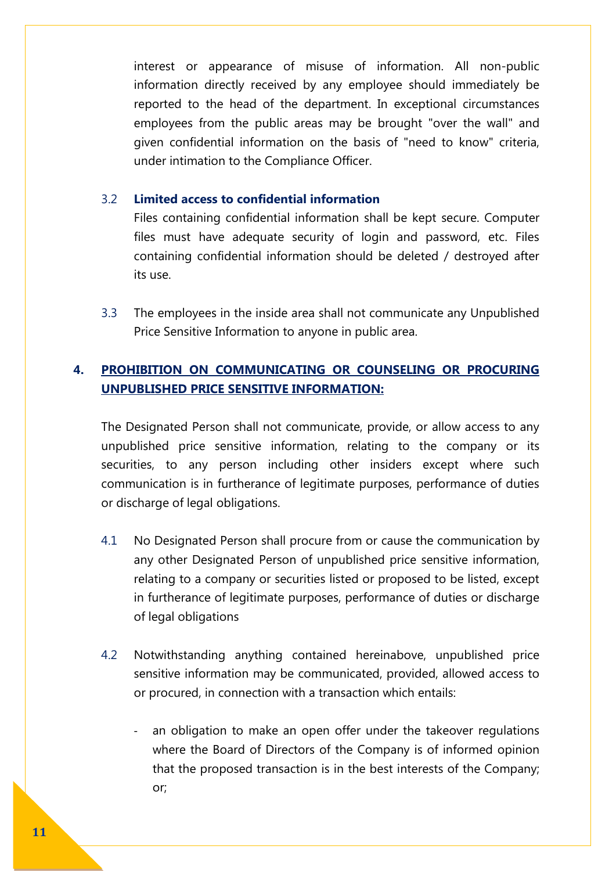interest or appearance of misuse of information. All non-public information directly received by any employee should immediately be reported to the head of the department. In exceptional circumstances employees from the public areas may be brought "over the wall" and given confidential information on the basis of "need to know" criteria, under intimation to the Compliance Officer.

## 3.2 **Limited access to confidential information**

Files containing confidential information shall be kept secure. Computer files must have adequate security of login and password, etc. Files containing confidential information should be deleted / destroyed after its use.

3.3 The employees in the inside area shall not communicate any Unpublished Price Sensitive Information to anyone in public area.

# **4. PROHIBITION ON COMMUNICATING OR COUNSELING OR PROCURING UNPUBLISHED PRICE SENSITIVE INFORMATION:**

The Designated Person shall not communicate, provide, or allow access to any unpublished price sensitive information, relating to the company or its securities, to any person including other insiders except where such communication is in furtherance of legitimate purposes, performance of duties or discharge of legal obligations.

- 4.1 No Designated Person shall procure from or cause the communication by any other Designated Person of unpublished price sensitive information, relating to a company or securities listed or proposed to be listed, except in furtherance of legitimate purposes, performance of duties or discharge of legal obligations
- 4.2 Notwithstanding anything contained hereinabove, unpublished price sensitive information may be communicated, provided, allowed access to or procured, in connection with a transaction which entails:
	- an obligation to make an open offer under the takeover regulations where the Board of Directors of the Company is of informed opinion that the proposed transaction is in the best interests of the Company; or;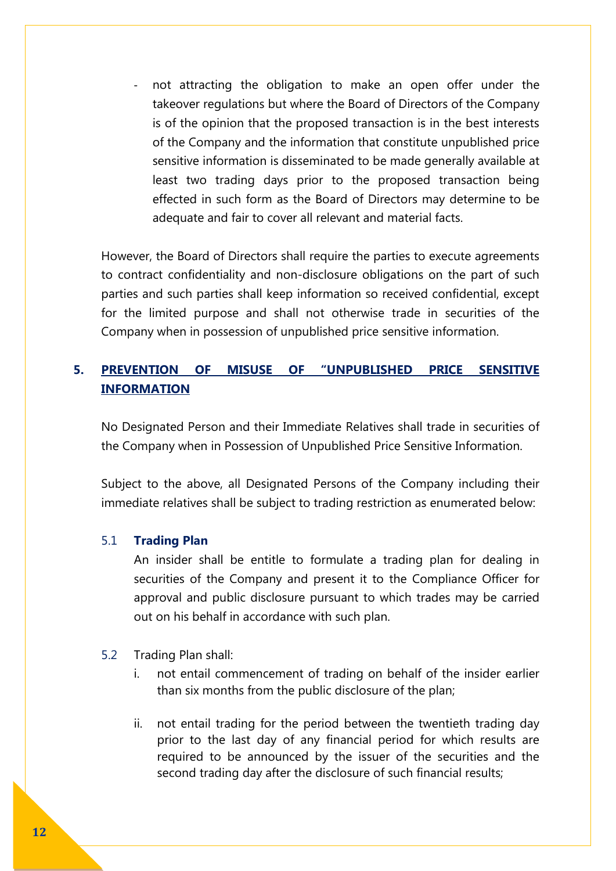not attracting the obligation to make an open offer under the takeover regulations but where the Board of Directors of the Company is of the opinion that the proposed transaction is in the best interests of the Company and the information that constitute unpublished price sensitive information is disseminated to be made generally available at least two trading days prior to the proposed transaction being effected in such form as the Board of Directors may determine to be adequate and fair to cover all relevant and material facts.

However, the Board of Directors shall require the parties to execute agreements to contract confidentiality and non-disclosure obligations on the part of such parties and such parties shall keep information so received confidential, except for the limited purpose and shall not otherwise trade in securities of the Company when in possession of unpublished price sensitive information.

# **5. PREVENTION OF MISUSE OF "UNPUBLISHED PRICE SENSITIVE INFORMATION**

No Designated Person and their Immediate Relatives shall trade in securities of the Company when in Possession of Unpublished Price Sensitive Information.

Subject to the above, all Designated Persons of the Company including their immediate relatives shall be subject to trading restriction as enumerated below:

## 5.1 **Trading Plan**

An insider shall be entitle to formulate a trading plan for dealing in securities of the Company and present it to the Compliance Officer for approval and public disclosure pursuant to which trades may be carried out on his behalf in accordance with such plan.

## 5.2 Trading Plan shall:

- i. not entail commencement of trading on behalf of the insider earlier than six months from the public disclosure of the plan;
- ii. not entail trading for the period between the twentieth trading day prior to the last day of any financial period for which results are required to be announced by the issuer of the securities and the second trading day after the disclosure of such financial results;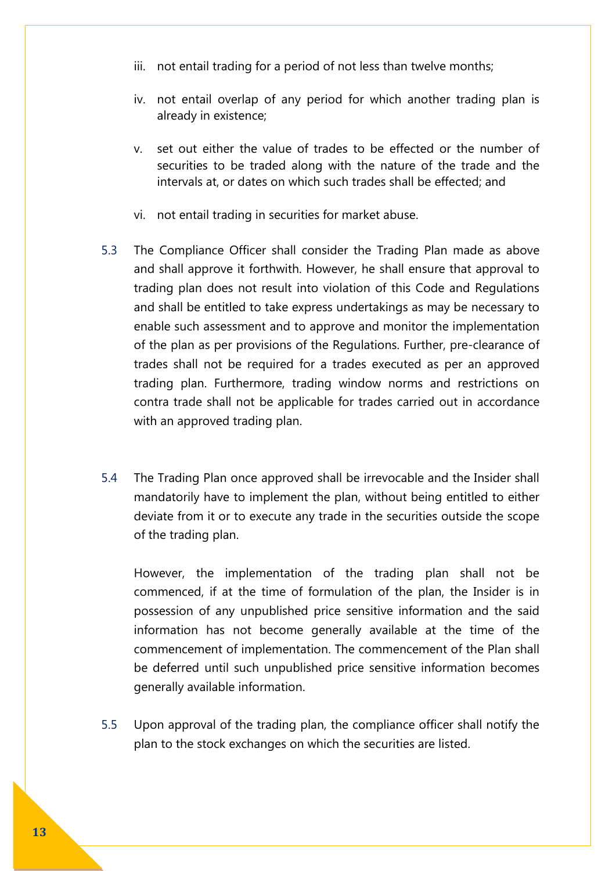- iii. not entail trading for a period of not less than twelve months;
- iv. not entail overlap of any period for which another trading plan is already in existence;
- v. set out either the value of trades to be effected or the number of securities to be traded along with the nature of the trade and the intervals at, or dates on which such trades shall be effected; and
- vi. not entail trading in securities for market abuse.
- 5.3 The Compliance Officer shall consider the Trading Plan made as above and shall approve it forthwith. However, he shall ensure that approval to trading plan does not result into violation of this Code and Regulations and shall be entitled to take express undertakings as may be necessary to enable such assessment and to approve and monitor the implementation of the plan as per provisions of the Regulations. Further, pre-clearance of trades shall not be required for a trades executed as per an approved trading plan. Furthermore, trading window norms and restrictions on contra trade shall not be applicable for trades carried out in accordance with an approved trading plan.
- 5.4 The Trading Plan once approved shall be irrevocable and the Insider shall mandatorily have to implement the plan, without being entitled to either deviate from it or to execute any trade in the securities outside the scope of the trading plan.

However, the implementation of the trading plan shall not be commenced, if at the time of formulation of the plan, the Insider is in possession of any unpublished price sensitive information and the said information has not become generally available at the time of the commencement of implementation. The commencement of the Plan shall be deferred until such unpublished price sensitive information becomes generally available information.

5.5 Upon approval of the trading plan, the compliance officer shall notify the plan to the stock exchanges on which the securities are listed.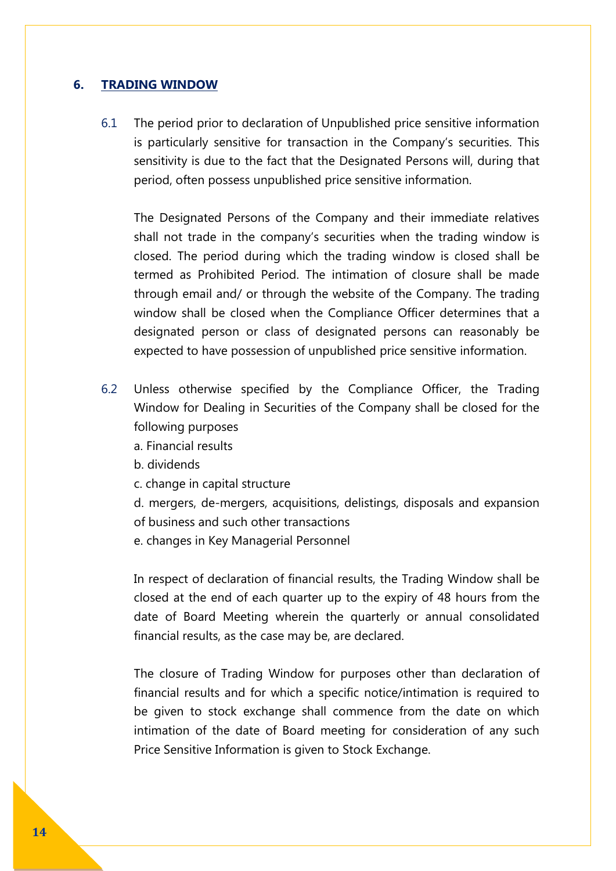## **6. TRADING WINDOW**

6.1 The period prior to declaration of Unpublished price sensitive information is particularly sensitive for transaction in the Company's securities. This sensitivity is due to the fact that the Designated Persons will, during that period, often possess unpublished price sensitive information.

The Designated Persons of the Company and their immediate relatives shall not trade in the company's securities when the trading window is closed. The period during which the trading window is closed shall be termed as Prohibited Period. The intimation of closure shall be made through email and/ or through the website of the Company. The trading window shall be closed when the Compliance Officer determines that a designated person or class of designated persons can reasonably be expected to have possession of unpublished price sensitive information.

- 6.2 Unless otherwise specified by the Compliance Officer, the Trading Window for Dealing in Securities of the Company shall be closed for the following purposes
	- a. Financial results
	- b. dividends
	- c. change in capital structure
	- d. mergers, de-mergers, acquisitions, delistings, disposals and expansion of business and such other transactions
	- e. changes in Key Managerial Personnel

In respect of declaration of financial results, the Trading Window shall be closed at the end of each quarter up to the expiry of 48 hours from the date of Board Meeting wherein the quarterly or annual consolidated financial results, as the case may be, are declared.

The closure of Trading Window for purposes other than declaration of financial results and for which a specific notice/intimation is required to be given to stock exchange shall commence from the date on which intimation of the date of Board meeting for consideration of any such Price Sensitive Information is given to Stock Exchange.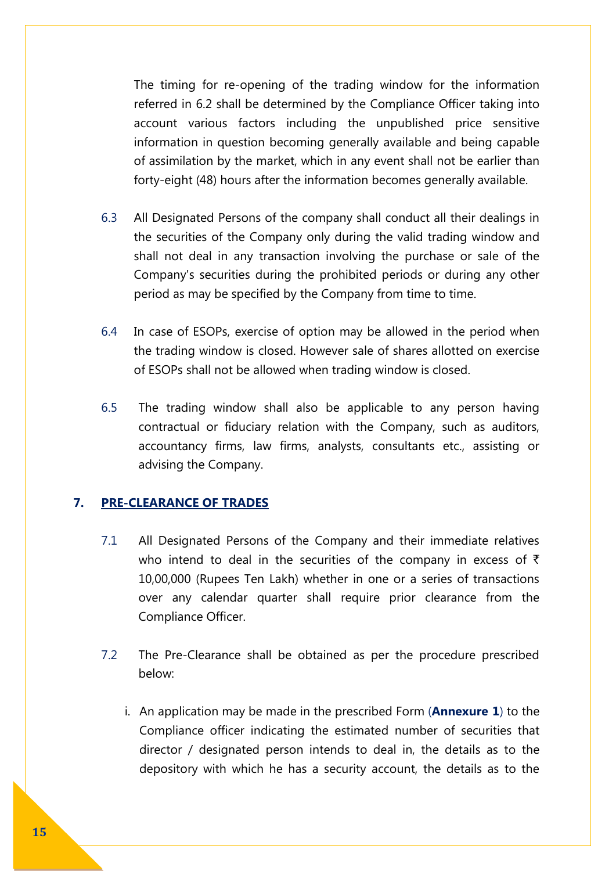The timing for re-opening of the trading window for the information referred in 6.2 shall be determined by the Compliance Officer taking into account various factors including the unpublished price sensitive information in question becoming generally available and being capable of assimilation by the market, which in any event shall not be earlier than forty-eight (48) hours after the information becomes generally available.

- 6.3 All Designated Persons of the company shall conduct all their dealings in the securities of the Company only during the valid trading window and shall not deal in any transaction involving the purchase or sale of the Company's securities during the prohibited periods or during any other period as may be specified by the Company from time to time.
- 6.4 In case of ESOPs, exercise of option may be allowed in the period when the trading window is closed. However sale of shares allotted on exercise of ESOPs shall not be allowed when trading window is closed.
- 6.5 The trading window shall also be applicable to any person having contractual or fiduciary relation with the Company, such as auditors, accountancy firms, law firms, analysts, consultants etc., assisting or advising the Company.

## **7. PRE-CLEARANCE OF TRADES**

- 7.1 All Designated Persons of the Company and their immediate relatives who intend to deal in the securities of the company in excess of  $\bar{\tau}$ 10,00,000 (Rupees Ten Lakh) whether in one or a series of transactions over any calendar quarter shall require prior clearance from the Compliance Officer.
- 7.2 The Pre-Clearance shall be obtained as per the procedure prescribed below:
	- i. An application may be made in the prescribed Form (**Annexure 1**) to the Compliance officer indicating the estimated number of securities that director / designated person intends to deal in, the details as to the depository with which he has a security account, the details as to the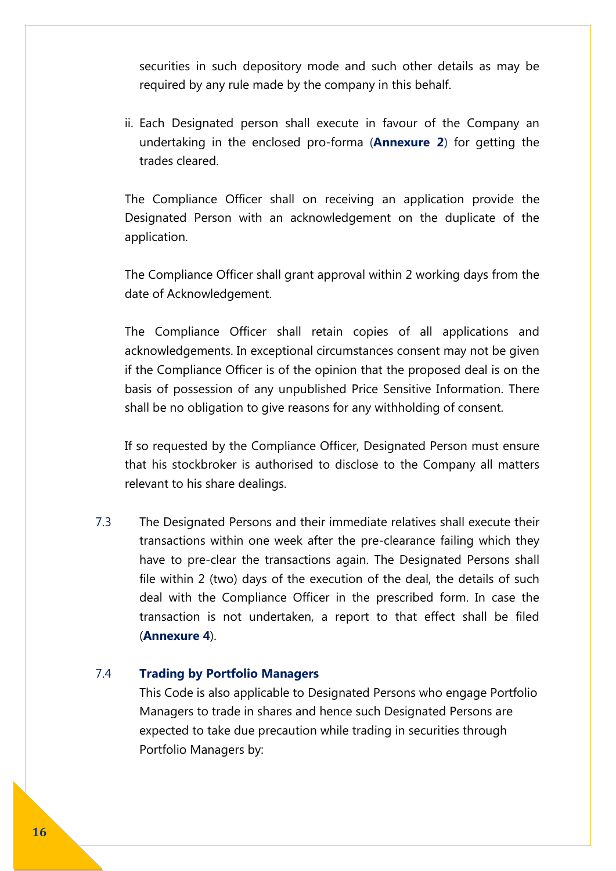securities in such depository mode and such other details as may be required by any rule made by the company in this behalf.

ii. Each Designated person shall execute in favour of the Company an undertaking in the enclosed pro-forma (**Annexure 2**) for getting the trades cleared.

The Compliance Officer shall on receiving an application provide the Designated Person with an acknowledgement on the duplicate of the application.

The Compliance Officer shall grant approval within 2 working days from the date of Acknowledgement.

The Compliance Officer shall retain copies of all applications and acknowledgements. In exceptional circumstances consent may not be given if the Compliance Officer is of the opinion that the proposed deal is on the basis of possession of any unpublished Price Sensitive Information. There shall be no obligation to give reasons for any withholding of consent.

If so requested by the Compliance Officer, Designated Person must ensure that his stockbroker is authorised to disclose to the Company all matters relevant to his share dealings.

7.3 The Designated Persons and their immediate relatives shall execute their transactions within one week after the pre-clearance failing which they have to pre-clear the transactions again. The Designated Persons shall file within 2 (two) days of the execution of the deal, the details of such deal with the Compliance Officer in the prescribed form. In case the transaction is not undertaken, a report to that effect shall be filed (**Annexure 4**).

## 7.4 **Trading by Portfolio Managers**

This Code is also applicable to Designated Persons who engage Portfolio Managers to trade in shares and hence such Designated Persons are expected to take due precaution while trading in securities through Portfolio Managers by: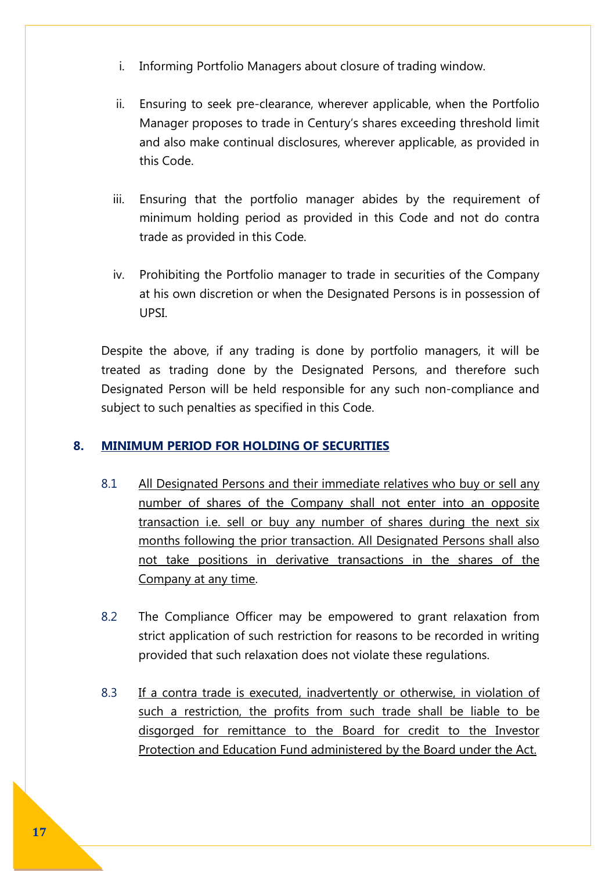- i. Informing Portfolio Managers about closure of trading window.
- ii. Ensuring to seek pre-clearance, wherever applicable, when the Portfolio Manager proposes to trade in Century's shares exceeding threshold limit and also make continual disclosures, wherever applicable, as provided in this Code.
- iii. Ensuring that the portfolio manager abides by the requirement of minimum holding period as provided in this Code and not do contra trade as provided in this Code.
- iv. Prohibiting the Portfolio manager to trade in securities of the Company at his own discretion or when the Designated Persons is in possession of UPSI.

Despite the above, if any trading is done by portfolio managers, it will be treated as trading done by the Designated Persons, and therefore such Designated Person will be held responsible for any such non-compliance and subject to such penalties as specified in this Code.

## **8. MINIMUM PERIOD FOR HOLDING OF SECURITIES**

- 8.1 All Designated Persons and their immediate relatives who buy or sell any number of shares of the Company shall not enter into an opposite transaction i.e. sell or buy any number of shares during the next six months following the prior transaction. All Designated Persons shall also not take positions in derivative transactions in the shares of the Company at any time.
- 8.2 The Compliance Officer may be empowered to grant relaxation from strict application of such restriction for reasons to be recorded in writing provided that such relaxation does not violate these regulations.
- 8.3 If a contra trade is executed, inadvertently or otherwise, in violation of such a restriction, the profits from such trade shall be liable to be disgorged for remittance to the Board for credit to the Investor Protection and Education Fund administered by the Board under the Act.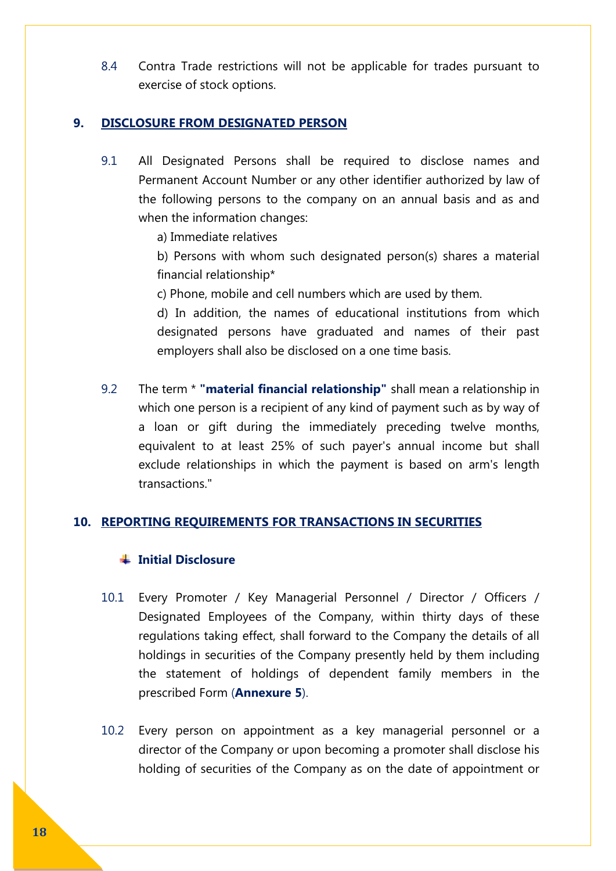8.4 Contra Trade restrictions will not be applicable for trades pursuant to exercise of stock options.

## **9. DISCLOSURE FROM DESIGNATED PERSON**

- 9.1 All Designated Persons shall be required to disclose names and Permanent Account Number or any other identifier authorized by law of the following persons to the company on an annual basis and as and when the information changes:
	- a) Immediate relatives
	- b) Persons with whom such designated person(s) shares a material financial relationship\*
	- c) Phone, mobile and cell numbers which are used by them.

d) In addition, the names of educational institutions from which designated persons have graduated and names of their past employers shall also be disclosed on a one time basis.

9.2 The term \* **"material financial relationship"** shall mean a relationship in which one person is a recipient of any kind of payment such as by way of a loan or gift during the immediately preceding twelve months, equivalent to at least 25% of such payer's annual income but shall exclude relationships in which the payment is based on arm's length transactions."

## **10. REPORTING REQUIREMENTS FOR TRANSACTIONS IN SECURITIES**

#### **Initial Disclosure**

- 10.1 Every Promoter / Key Managerial Personnel / Director / Officers / Designated Employees of the Company, within thirty days of these regulations taking effect, shall forward to the Company the details of all holdings in securities of the Company presently held by them including the statement of holdings of dependent family members in the prescribed Form (**Annexure 5**).
- 10.2 Every person on appointment as a key managerial personnel or a director of the Company or upon becoming a promoter shall disclose his holding of securities of the Company as on the date of appointment or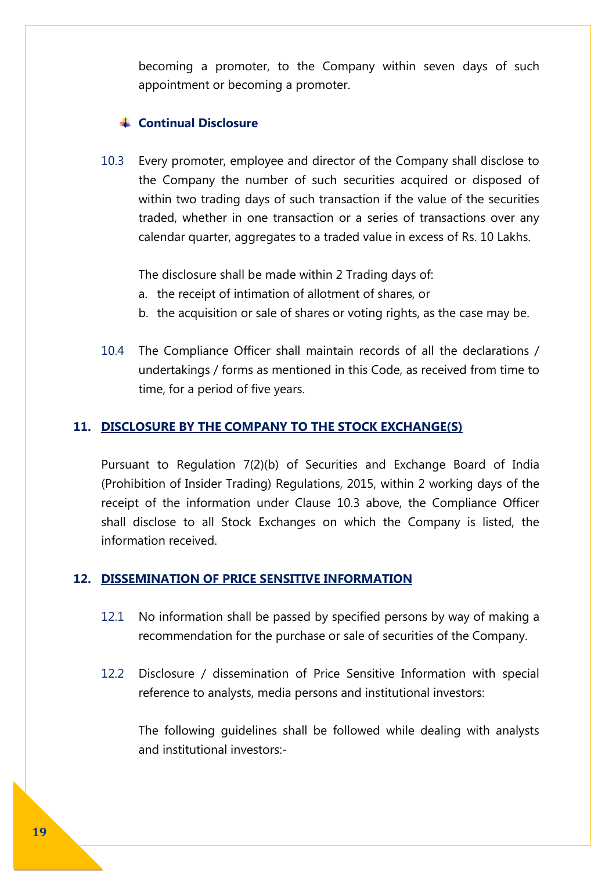becoming a promoter, to the Company within seven days of such appointment or becoming a promoter.

## **Continual Disclosure**

10.3 Every promoter, employee and director of the Company shall disclose to the Company the number of such securities acquired or disposed of within two trading days of such transaction if the value of the securities traded, whether in one transaction or a series of transactions over any calendar quarter, aggregates to a traded value in excess of Rs. 10 Lakhs.

The disclosure shall be made within 2 Trading days of:

- a. the receipt of intimation of allotment of shares, or
- b. the acquisition or sale of shares or voting rights, as the case may be.
- 10.4 The Compliance Officer shall maintain records of all the declarations / undertakings / forms as mentioned in this Code, as received from time to time, for a period of five years.

## **11. DISCLOSURE BY THE COMPANY TO THE STOCK EXCHANGE(S)**

Pursuant to Regulation 7(2)(b) of Securities and Exchange Board of India (Prohibition of Insider Trading) Regulations, 2015, within 2 working days of the receipt of the information under Clause 10.3 above, the Compliance Officer shall disclose to all Stock Exchanges on which the Company is listed, the information received.

#### **12. DISSEMINATION OF PRICE SENSITIVE INFORMATION**

- 12.1 No information shall be passed by specified persons by way of making a recommendation for the purchase or sale of securities of the Company.
- 12.2 Disclosure / dissemination of Price Sensitive Information with special reference to analysts, media persons and institutional investors:

The following guidelines shall be followed while dealing with analysts and institutional investors:-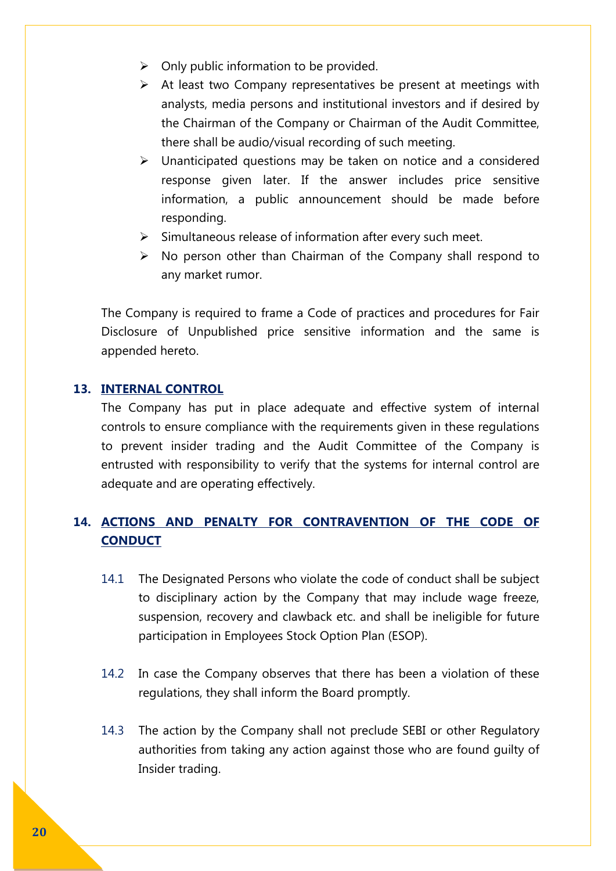- $\triangleright$  Only public information to be provided.
- $\triangleright$  At least two Company representatives be present at meetings with analysts, media persons and institutional investors and if desired by the Chairman of the Company or Chairman of the Audit Committee, there shall be audio/visual recording of such meeting.
- $\triangleright$  Unanticipated questions may be taken on notice and a considered response given later. If the answer includes price sensitive information, a public announcement should be made before responding.
- $\triangleright$  Simultaneous release of information after every such meet.
- $\triangleright$  No person other than Chairman of the Company shall respond to any market rumor.

The Company is required to frame a Code of practices and procedures for Fair Disclosure of Unpublished price sensitive information and the same is appended hereto.

### **13. INTERNAL CONTROL**

The Company has put in place adequate and effective system of internal controls to ensure compliance with the requirements given in these regulations to prevent insider trading and the Audit Committee of the Company is entrusted with responsibility to verify that the systems for internal control are adequate and are operating effectively.

# **14. ACTIONS AND PENALTY FOR CONTRAVENTION OF THE CODE OF CONDUCT**

- 14.1 The Designated Persons who violate the code of conduct shall be subject to disciplinary action by the Company that may include wage freeze, suspension, recovery and clawback etc. and shall be ineligible for future participation in Employees Stock Option Plan (ESOP).
- 14.2 In case the Company observes that there has been a violation of these regulations, they shall inform the Board promptly.
- 14.3 The action by the Company shall not preclude SEBI or other Regulatory authorities from taking any action against those who are found guilty of Insider trading.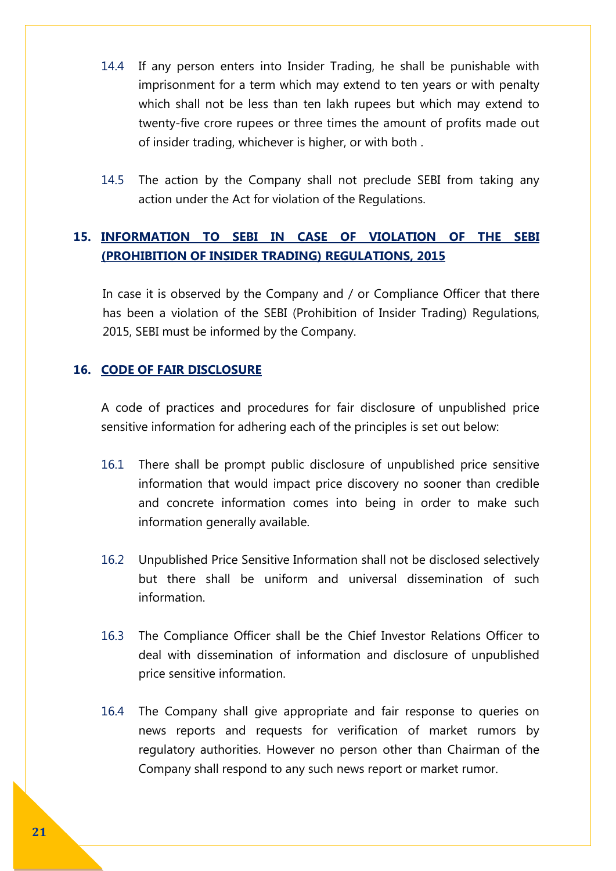- 14.4 If any person enters into Insider Trading, he shall be punishable with imprisonment for a term which may extend to ten years or with penalty which shall not be less than ten lakh rupees but which may extend to twenty-five crore rupees or three times the amount of profits made out of insider trading, whichever is higher, or with both .
- 14.5 The action by the Company shall not preclude SEBI from taking any action under the Act for violation of the Regulations.

## **15. INFORMATION TO SEBI IN CASE OF VIOLATION OF THE SEBI (PROHIBITION OF INSIDER TRADING) REGULATIONS, 2015**

In case it is observed by the Company and / or Compliance Officer that there has been a violation of the SEBI (Prohibition of Insider Trading) Regulations, 2015, SEBI must be informed by the Company.

## **16. CODE OF FAIR DISCLOSURE**

A code of practices and procedures for fair disclosure of unpublished price sensitive information for adhering each of the principles is set out below:

- 16.1 There shall be prompt public disclosure of unpublished price sensitive information that would impact price discovery no sooner than credible and concrete information comes into being in order to make such information generally available.
- 16.2 Unpublished Price Sensitive Information shall not be disclosed selectively but there shall be uniform and universal dissemination of such information.
- 16.3 The Compliance Officer shall be the Chief Investor Relations Officer to deal with dissemination of information and disclosure of unpublished price sensitive information.
- 16.4 The Company shall give appropriate and fair response to queries on news reports and requests for verification of market rumors by regulatory authorities. However no person other than Chairman of the Company shall respond to any such news report or market rumor.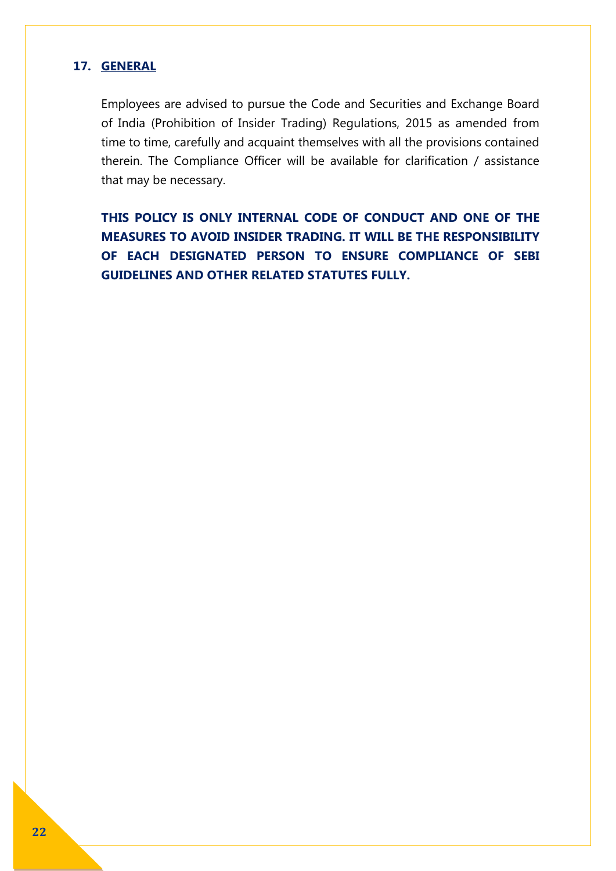## **17. GENERAL**

Employees are advised to pursue the Code and Securities and Exchange Board of India (Prohibition of Insider Trading) Regulations, 2015 as amended from time to time, carefully and acquaint themselves with all the provisions contained therein. The Compliance Officer will be available for clarification / assistance that may be necessary.

**THIS POLICY IS ONLY INTERNAL CODE OF CONDUCT AND ONE OF THE MEASURES TO AVOID INSIDER TRADING. IT WILL BE THE RESPONSIBILITY OF EACH DESIGNATED PERSON TO ENSURE COMPLIANCE OF SEBI GUIDELINES AND OTHER RELATED STATUTES FULLY.**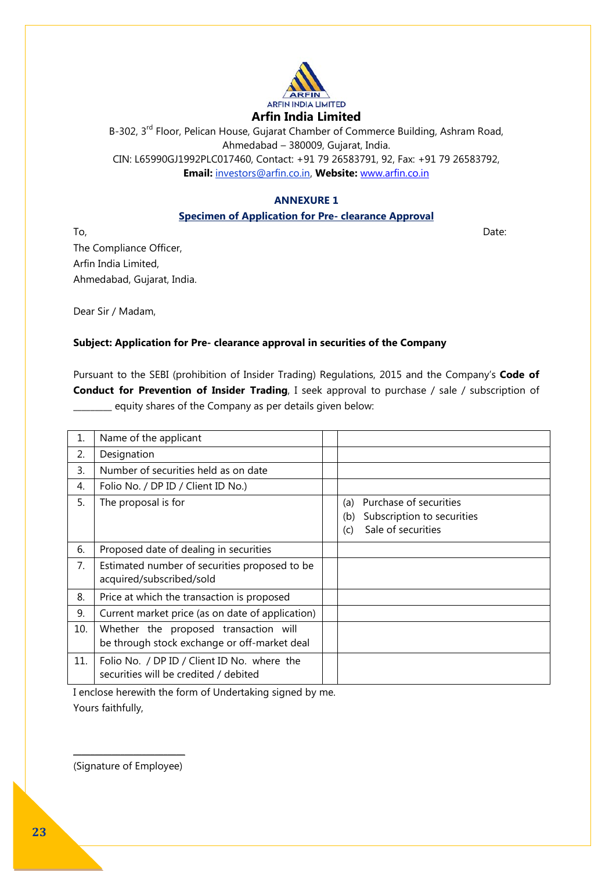

B-302, 3<sup>rd</sup> Floor, Pelican House, Gujarat Chamber of Commerce Building, Ashram Road, Ahmedabad – 380009, Gujarat, India. CIN: L65990GJ1992PLC017460, Contact: +91 79 26583791, 92, Fax: +91 79 26583792, **Email:** investors@arfin.co.in, **Website:** [www.arfin.co.in](http://www.arfin.co.in/)

#### **ANNEXURE 1**

#### **Specimen of Application for Pre- clearance Approval**

 $\Gamma$ o,  $D$ ate:  $D$ ate:  $D$ ate:  $D$ ate:  $D$ ate:  $D$ ate:  $D$ ate:  $D$ ate:  $D$ ate:  $D$ ate:  $D$ ate:  $D$ ate:  $D$ ate:  $D$ ate:  $D$ ate:  $D$ ate:  $D$ ate:  $D$ ate:  $D$ ate:  $D$ ate:  $D$ ate:  $D$ ate:  $D$ ate:  $D$ ate:  $D$ ate:  $D$ ate:  $D$ ate The Compliance Officer, Arfin India Limited, Ahmedabad, Gujarat, India.

Dear Sir / Madam,

## **Subject: Application for Pre- clearance approval in securities of the Company**

Pursuant to the SEBI (prohibition of Insider Trading) Regulations, 2015 and the Company's **Code of Conduct for Prevention of Insider Trading**, I seek approval to purchase / sale / subscription of \_\_\_\_\_\_\_\_\_ equity shares of the Company as per details given below:

| 1.  | Name of the applicant                                                                 |                                                                                                 |
|-----|---------------------------------------------------------------------------------------|-------------------------------------------------------------------------------------------------|
| 2.  | Designation                                                                           |                                                                                                 |
| 3.  | Number of securities held as on date                                                  |                                                                                                 |
| 4.  | Folio No. / DP ID / Client ID No.)                                                    |                                                                                                 |
| 5.  | The proposal is for                                                                   | Purchase of securities<br>(a)<br>Subscription to securities<br>(b)<br>Sale of securities<br>(c) |
| 6.  | Proposed date of dealing in securities                                                |                                                                                                 |
| 7.  | Estimated number of securities proposed to be<br>acquired/subscribed/sold             |                                                                                                 |
| 8.  | Price at which the transaction is proposed                                            |                                                                                                 |
| 9.  | Current market price (as on date of application)                                      |                                                                                                 |
| 10. | Whether the proposed transaction will<br>be through stock exchange or off-market deal |                                                                                                 |
| 11. | Folio No. / DP ID / Client ID No. where the<br>securities will be credited / debited  |                                                                                                 |

I enclose herewith the form of Undertaking signed by me. Yours faithfully,

 $\frac{1}{2}$  ,  $\frac{1}{2}$  ,  $\frac{1}{2}$  ,  $\frac{1}{2}$  ,  $\frac{1}{2}$  ,  $\frac{1}{2}$  ,  $\frac{1}{2}$  ,  $\frac{1}{2}$  ,  $\frac{1}{2}$  ,  $\frac{1}{2}$  ,  $\frac{1}{2}$ (Signature of Employee)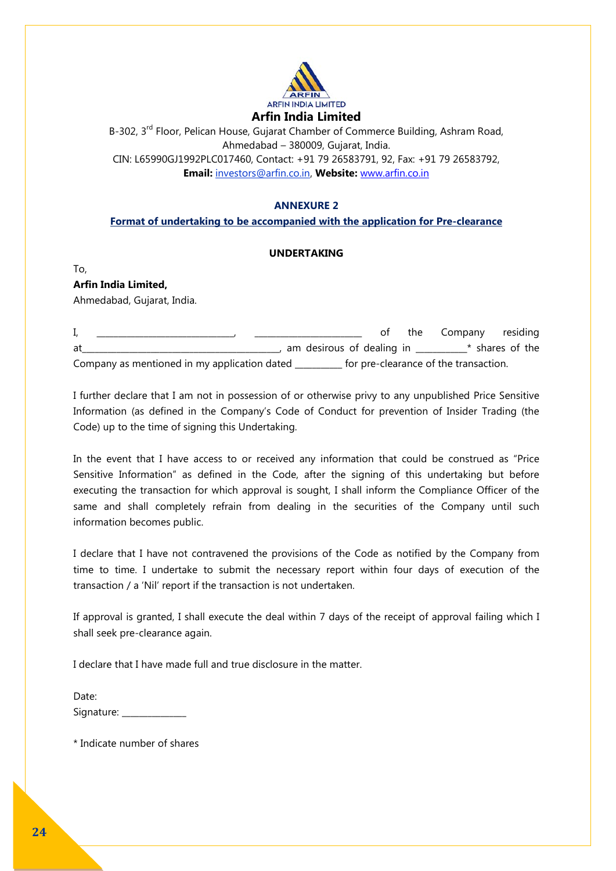

B-302, 3<sup>rd</sup> Floor, Pelican House, Gujarat Chamber of Commerce Building, Ashram Road, Ahmedabad – 380009, Gujarat, India. CIN: L65990GJ1992PLC017460, Contact: +91 79 26583791, 92, Fax: +91 79 26583792, **Email:** investors@arfin.co.in, **Website:** [www.arfin.co.in](http://www.arfin.co.in/)

#### **ANNEXURE 2**

#### **Format of undertaking to be accompanied with the application for Pre-clearance**

#### **UNDERTAKING**

To, **Arfin India Limited,** Ahmedabad, Gujarat, India.

|    |                                              |                                       | the Company residing |
|----|----------------------------------------------|---------------------------------------|----------------------|
| at | am desirous of dealing in                    |                                       | * shares of the      |
|    | Company as mentioned in my application dated | for pre-clearance of the transaction. |                      |

I further declare that I am not in possession of or otherwise privy to any unpublished Price Sensitive Information (as defined in the Company's Code of Conduct for prevention of Insider Trading (the Code) up to the time of signing this Undertaking.

In the event that I have access to or received any information that could be construed as "Price Sensitive Information" as defined in the Code, after the signing of this undertaking but before executing the transaction for which approval is sought, I shall inform the Compliance Officer of the same and shall completely refrain from dealing in the securities of the Company until such information becomes public.

I declare that I have not contravened the provisions of the Code as notified by the Company from time to time. I undertake to submit the necessary report within four days of execution of the transaction / a 'Nil' report if the transaction is not undertaken.

If approval is granted, I shall execute the deal within 7 days of the receipt of approval failing which I shall seek pre-clearance again.

I declare that I have made full and true disclosure in the matter.

| Date:      |  |
|------------|--|
| Signature: |  |

\* Indicate number of shares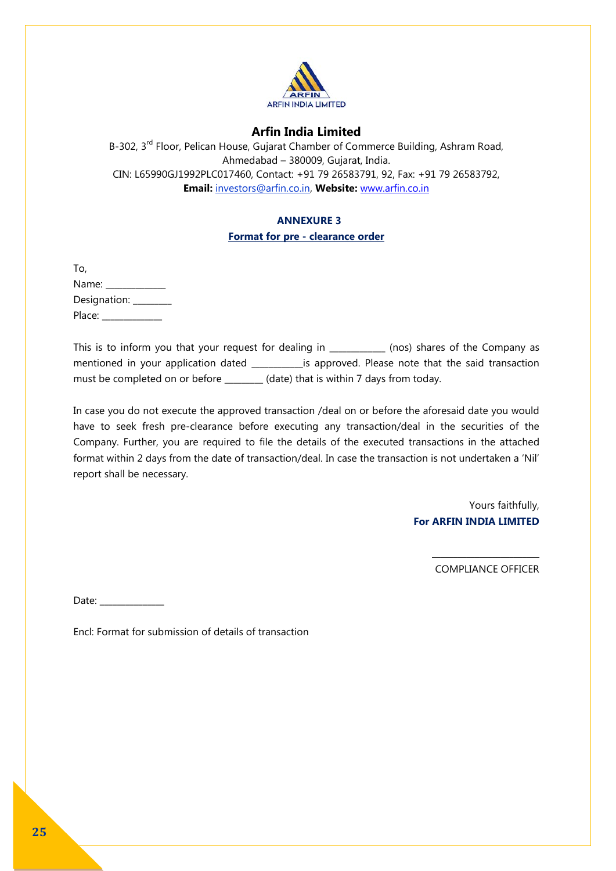

B-302, 3<sup>rd</sup> Floor, Pelican House, Gujarat Chamber of Commerce Building, Ashram Road, Ahmedabad – 380009, Gujarat, India. CIN: L65990GJ1992PLC017460, Contact: +91 79 26583791, 92, Fax: +91 79 26583792, **Email:** investors@arfin.co.in, **Website:** [www.arfin.co.in](http://www.arfin.co.in/)

#### **ANNEXURE 3**

#### **Format for pre - clearance order**

| To,            |  |
|----------------|--|
| Name:          |  |
| Designation: _ |  |
| Place:         |  |

This is to inform you that your request for dealing in (nos) shares of the Company as mentioned in your application dated \_\_\_\_\_\_\_\_\_\_\_\_is approved. Please note that the said transaction must be completed on or before (date) that is within 7 days from today.

In case you do not execute the approved transaction /deal on or before the aforesaid date you would have to seek fresh pre-clearance before executing any transaction/deal in the securities of the Company. Further, you are required to file the details of the executed transactions in the attached format within 2 days from the date of transaction/deal. In case the transaction is not undertaken a 'Nil' report shall be necessary.

> Yours faithfully, **For ARFIN INDIA LIMITED**

> > $\overline{\phantom{a}}$  , where  $\overline{\phantom{a}}$  , where  $\overline{\phantom{a}}$  , where  $\overline{\phantom{a}}$ COMPLIANCE OFFICER

Date:

Encl: Format for submission of details of transaction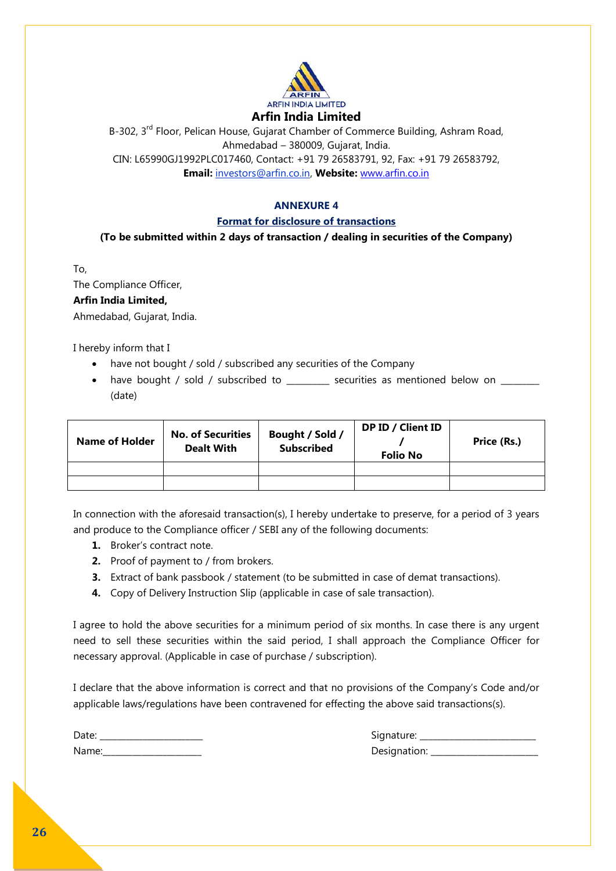

B-302, 3<sup>rd</sup> Floor, Pelican House, Gujarat Chamber of Commerce Building, Ashram Road, Ahmedabad – 380009, Gujarat, India. CIN: L65990GJ1992PLC017460, Contact: +91 79 26583791, 92, Fax: +91 79 26583792, **Email:** investors@arfin.co.in, **Website:** [www.arfin.co.in](http://www.arfin.co.in/)

#### **ANNEXURE 4**

#### **Format for disclosure of transactions**

**(To be submitted within 2 days of transaction / dealing in securities of the Company)**

To,

The Compliance Officer,

#### **Arfin India Limited,**

Ahmedabad, Gujarat, India.

I hereby inform that I

- have not bought / sold / subscribed any securities of the Company
- have bought / sold / subscribed to execurities as mentioned below on (date)

| <b>Name of Holder</b> | <b>No. of Securities</b><br><b>Dealt With</b> | Bought / Sold /<br><b>Subscribed</b> | DP ID / Client ID<br><b>Folio No</b> | Price (Rs.) |
|-----------------------|-----------------------------------------------|--------------------------------------|--------------------------------------|-------------|
|                       |                                               |                                      |                                      |             |
|                       |                                               |                                      |                                      |             |

In connection with the aforesaid transaction(s), I hereby undertake to preserve, for a period of 3 years and produce to the Compliance officer / SEBI any of the following documents:

- **1.** Broker's contract note.
- **2.** Proof of payment to / from brokers.
- **3.** Extract of bank passbook / statement (to be submitted in case of demat transactions).
- **4.** Copy of Delivery Instruction Slip (applicable in case of sale transaction).

I agree to hold the above securities for a minimum period of six months. In case there is any urgent need to sell these securities within the said period, I shall approach the Compliance Officer for necessary approval. (Applicable in case of purchase / subscription).

I declare that the above information is correct and that no provisions of the Company's Code and/or applicable laws/regulations have been contravened for effecting the above said transactions(s).

| Date: |  |
|-------|--|
| Name: |  |

Date: \_\_\_\_\_\_\_\_\_\_\_\_\_\_\_\_\_\_\_\_\_\_\_\_ Signature: \_\_\_\_\_\_\_\_\_\_\_\_\_\_\_\_\_\_\_\_\_\_\_\_\_\_\_ Name:\_\_\_\_\_\_\_\_\_\_\_\_\_\_\_\_\_\_\_\_\_\_\_ Designation: \_\_\_\_\_\_\_\_\_\_\_\_\_\_\_\_\_\_\_\_\_\_\_\_\_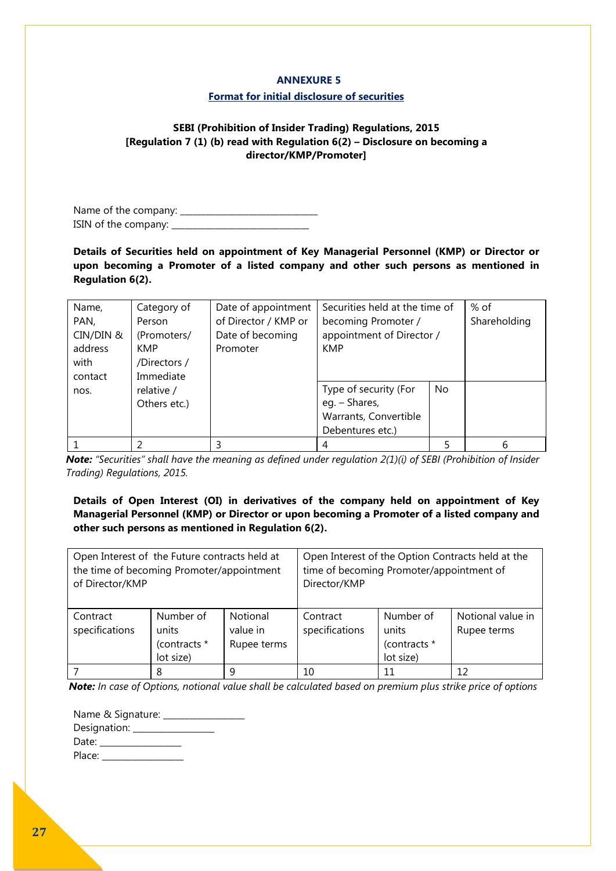#### **ANNEXURE 5**

#### **Format for initial disclosure of securities**

#### **SEBI (Prohibition of Insider Trading) Regulations, 2015 [Regulation 7 (1) (b) read with Regulation 6(2) – Disclosure on becoming a director/KMP/Promoter]**

Name of the company: \_\_\_\_\_\_\_\_\_\_\_\_\_\_\_\_\_\_\_\_\_\_\_\_\_\_\_\_\_\_\_\_ ISIN of the company: \_\_\_\_\_\_\_\_\_\_\_\_\_\_\_\_\_\_\_\_\_\_\_\_\_\_\_\_\_\_\_\_

**Details of Securities held on appointment of Key Managerial Personnel (KMP) or Director or upon becoming a Promoter of a listed company and other such persons as mentioned in Regulation 6(2).** 

| Name,<br>PAN,<br>CIN/DIN &<br>address<br>with<br>contact | Category of<br>Person<br>(Promoters/<br><b>KMP</b><br>/Directors/<br>Immediate | Date of appointment<br>of Director / KMP or<br>Date of becoming<br>Promoter | Securities held at the time of<br>becoming Promoter /<br>appointment of Director /<br><b>KMP</b> |    | % of<br>Shareholding |
|----------------------------------------------------------|--------------------------------------------------------------------------------|-----------------------------------------------------------------------------|--------------------------------------------------------------------------------------------------|----|----------------------|
| nos.                                                     | relative /<br>Others etc.)                                                     |                                                                             | Type of security (For<br>eg. - Shares,<br>Warrants, Convertible<br>Debentures etc.)              | No |                      |
|                                                          | ว                                                                              |                                                                             | 4                                                                                                | 5  | 6                    |

*Note: "Securities" shall have the meaning as defined under regulation 2(1)(i) of SEBI (Prohibition of Insider Trading) Regulations, 2015.*

**Details of Open Interest (OI) in derivatives of the company held on appointment of Key Managerial Personnel (KMP) or Director or upon becoming a Promoter of a listed company and other such persons as mentioned in Regulation 6(2).** 

| Open Interest of the Future contracts held at<br>the time of becoming Promoter/appointment<br>of Director/KMP |                                                 |                                            | Open Interest of the Option Contracts held at the<br>time of becoming Promoter/appointment of<br>Director/KMP |                                                 |                                  |  |  |  |  |
|---------------------------------------------------------------------------------------------------------------|-------------------------------------------------|--------------------------------------------|---------------------------------------------------------------------------------------------------------------|-------------------------------------------------|----------------------------------|--|--|--|--|
| Contract<br>specifications                                                                                    | Number of<br>units<br>(contracts *<br>lot size) | <b>Notional</b><br>value in<br>Rupee terms | Contract<br>specifications                                                                                    | Number of<br>units<br>(contracts *<br>lot size) | Notional value in<br>Rupee terms |  |  |  |  |
|                                                                                                               | 8                                               | q                                          | 10                                                                                                            | 11                                              | 12                               |  |  |  |  |

*Note: In case of Options, notional value shall be calculated based on premium plus strike price of options* 

| Name & Signature: ______ |  |
|--------------------------|--|
| Designation: ______      |  |
| Date:                    |  |
| Place:                   |  |
|                          |  |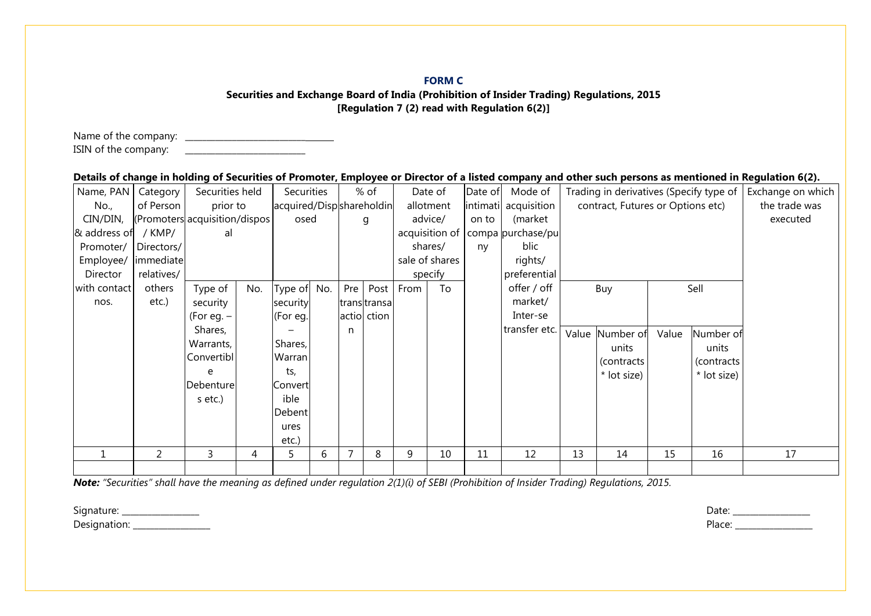#### **FORM C**

#### **Securities and Exchange Board of India (Prohibition of Insider Trading) Regulations, 2015 [Regulation 7 (2) read with Regulation 6(2)]**

Name of the company: \_\_\_\_\_\_\_\_\_\_\_\_\_\_\_\_\_\_\_\_\_\_\_\_\_\_\_\_ ISIN of the company:

#### **Details of change in holding of Securities of Promoter, Employee or Director of a listed company and other such persons as mentioned in Regulation 6(2).**

| Name, PAN    | Category                      | Securities held |     | <b>Securities</b>        |     |     | % of          |      | Date of        | Date of | Mode of              | Trading in derivatives (Specify type of |                 |       |             | Exchange on which |
|--------------|-------------------------------|-----------------|-----|--------------------------|-----|-----|---------------|------|----------------|---------|----------------------|-----------------------------------------|-----------------|-------|-------------|-------------------|
| No.,         | of Person                     | prior to        |     | acquired/Dispshareholdin |     |     |               |      | allotment      |         | intimati acquisition | contract, Futures or Options etc)       |                 |       |             | the trade was     |
| CIN/DIN,     | (Promoters acquisition/dispos |                 |     | osed                     |     |     | g             |      | advice/        | on to   | (market              |                                         |                 |       |             | executed          |
| & address of | / $KMP/$                      | al              |     |                          |     |     |               |      | acquisition of |         | compa purchase/pu    |                                         |                 |       |             |                   |
| Promoter/    | Directors/                    |                 |     |                          |     |     |               |      | shares/        | ny      | blic                 |                                         |                 |       |             |                   |
| Employee/    | immediate                     |                 |     |                          |     |     |               |      | sale of shares |         | rights/              |                                         |                 |       |             |                   |
| Director     | relatives/                    |                 |     |                          |     |     |               |      | specify        |         | preferential         |                                         |                 |       |             |                   |
| with contact | others                        | Type of         | No. | Type of                  | No. | Pre | Post          | From | To             |         | offer / off          | Sell<br>Buy                             |                 |       |             |                   |
| nos.         | etc.)                         | security        |     | security                 |     |     | trans transal |      |                |         | market/              |                                         |                 |       |             |                   |
|              |                               | (For eq. $-$    |     | (For eg.                 |     |     | actio ction   |      |                |         | Inter-se             |                                         |                 |       |             |                   |
|              |                               | Shares,         |     |                          |     | n   |               |      |                |         | transfer etc.        |                                         | Value Number of | Value | Number of   |                   |
|              |                               | Warrants,       |     | Shares,                  |     |     |               |      |                |         |                      |                                         | units           |       | units       |                   |
|              |                               | Convertibl      |     | Warran                   |     |     |               |      |                |         |                      |                                         | (contracts      |       | (contracts) |                   |
|              |                               | e               |     | ts,                      |     |     |               |      |                |         |                      |                                         | * lot size)     |       | * lot size) |                   |
|              |                               | Debenture       |     | Convert                  |     |     |               |      |                |         |                      |                                         |                 |       |             |                   |
|              |                               | s etc.)         |     | ible                     |     |     |               |      |                |         |                      |                                         |                 |       |             |                   |
|              |                               |                 |     | Debent                   |     |     |               |      |                |         |                      |                                         |                 |       |             |                   |
|              |                               |                 |     | ures                     |     |     |               |      |                |         |                      |                                         |                 |       |             |                   |
|              |                               |                 |     | etc.)                    |     |     |               |      |                |         |                      |                                         |                 |       |             |                   |
|              | 2                             | 3               | 4   | 5                        | 6   | 7   | 8             | 9    | 10             | 11      | 12                   | 13                                      | 14              | 15    | 16          | 17                |
|              |                               |                 |     |                          |     |     |               |      |                |         |                      |                                         |                 |       |             |                   |

*Note: "Securities" shall have the meaning as defined under regulation 2(1)(i) of SEBI (Prohibition of Insider Trading) Regulations, 2015.*

Signature: \_\_\_\_\_\_\_\_\_\_\_\_\_\_\_\_\_\_ Date: \_\_\_\_\_\_\_\_\_\_\_\_\_\_\_\_\_\_ Designation: \_\_\_\_\_\_\_\_\_\_\_\_\_\_\_\_\_\_ Place: \_\_\_\_\_\_\_\_\_\_\_\_\_\_\_\_\_\_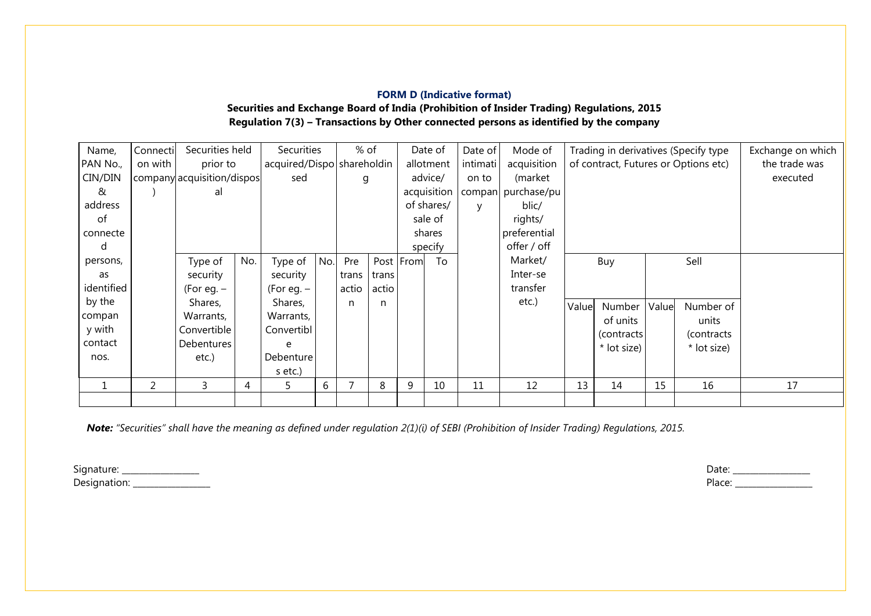# **FORM D (Indicative format)**

**Securities and Exchange Board of India (Prohibition of Insider Trading) Regulations, 2015 Regulation 7(3) – Transactions by Other connected persons as identified by the company**

| Name,      | Connecti | Securities held            |     | Securities                 |     | % of  |       |           | Date of     | Date of  | Mode of            | Trading in derivatives (Specify type |             |       |               | Exchange on which |
|------------|----------|----------------------------|-----|----------------------------|-----|-------|-------|-----------|-------------|----------|--------------------|--------------------------------------|-------------|-------|---------------|-------------------|
| PAN No.,   | on with  | prior to                   |     | acquired/Dispo shareholdin |     |       |       |           | allotment   | intimati | acquisition        | of contract, Futures or Options etc) |             |       | the trade was |                   |
| CIN/DIN    |          | company acquisition/dispos |     | sed                        |     | g     |       |           | advice/     | on to    | (market            |                                      |             |       |               | executed          |
| &          |          | al                         |     |                            |     |       |       |           | acquisition |          | compan purchase/pu |                                      |             |       |               |                   |
| address    |          |                            |     |                            |     |       |       |           | of shares/  |          | blic/              |                                      |             |       |               |                   |
| of         |          |                            |     |                            |     |       |       |           | sale of     |          | rights/            |                                      |             |       |               |                   |
| connecte   |          |                            |     |                            |     |       |       |           | shares      |          | preferential       |                                      |             |       |               |                   |
| d          |          |                            |     |                            |     |       |       |           | specify     |          | offer / off        |                                      |             |       |               |                   |
| persons,   |          | Type of                    | No. | Type of                    | No. | Pre   |       | Post From | To          |          | Market/            |                                      | Buy         |       | Sell          |                   |
| as         |          | security                   |     | security                   |     | trans | trans |           |             |          | Inter-se           |                                      |             |       |               |                   |
| identified |          | (For eg. $-$               |     | (For eq. $-$               |     | actio | actio |           |             |          | transfer           |                                      |             |       |               |                   |
| by the     |          | Shares,                    |     | Shares,                    |     | n     | n     |           |             |          | etc.)              | Value                                | Number      | Value | Number of     |                   |
| compan     |          | Warrants,                  |     | Warrants,                  |     |       |       |           |             |          |                    |                                      | of units    |       | units         |                   |
| y with     |          | Convertible                |     | Convertibl                 |     |       |       |           |             |          |                    |                                      | (contracts) |       | (contracts)   |                   |
| contact    |          | Debentures                 |     | e                          |     |       |       |           |             |          |                    |                                      | * lot size) |       | * lot size)   |                   |
| nos.       |          | $etc.$ )                   |     | Debenture                  |     |       |       |           |             |          |                    |                                      |             |       |               |                   |
|            |          |                            |     | s etc.)                    |     |       |       |           |             |          |                    |                                      |             |       |               |                   |
|            | 2        | 3                          | 4   | 5                          | 6   |       | 8     | 9         | 10          | 11       | 12                 | 13                                   | 14          | 15    | 16            | 17                |
|            |          |                            |     |                            |     |       |       |           |             |          |                    |                                      |             |       |               |                   |

*Note: "Securities" shall have the meaning as defined under regulation 2(1)(i) of SEBI (Prohibition of Insider Trading) Regulations, 2015.*

Signature: \_\_\_\_\_\_\_\_\_\_\_\_\_\_\_\_\_\_ Date: \_\_\_\_\_\_\_\_\_\_\_\_\_\_\_\_\_\_ Designation: \_\_\_\_\_\_\_\_\_\_\_\_\_\_\_\_\_\_ Place: \_\_\_\_\_\_\_\_\_\_\_\_\_\_\_\_\_\_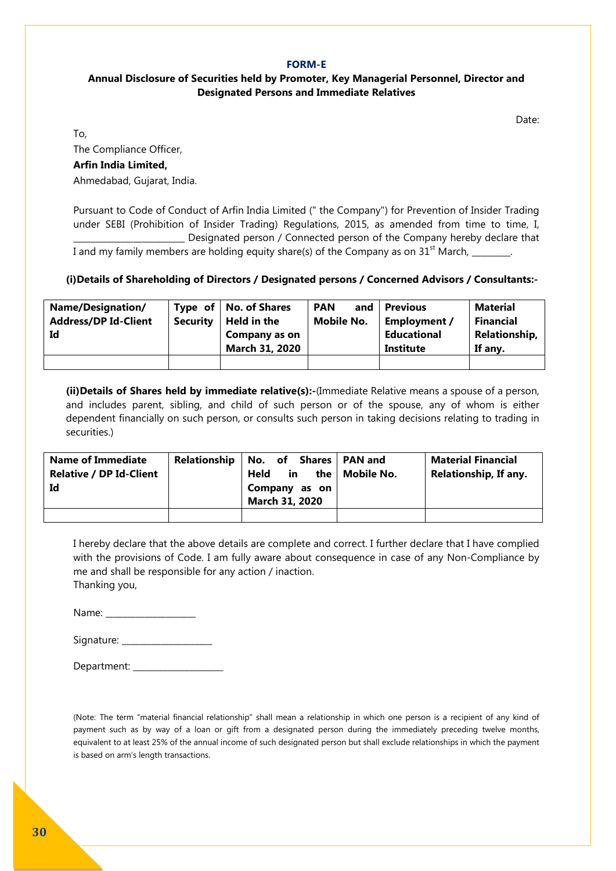#### **FORM-E**

#### **Annual Disclosure of Securities held by Promoter, Key Managerial Personnel, Director and Designated Persons and Immediate Relatives**

Date:

To,

The Compliance Officer, **Arfin India Limited,** Ahmedabad, Gujarat, India.

Pursuant to Code of Conduct of Arfin India Limited (" the Company") for Prevention of Insider Trading under SEBI (Prohibition of Insider Trading) Regulations, 2015, as amended from time to time, I, Designated person / Connected person of the Company hereby declare that I and my family members are holding equity share(s) of the Company as on  $31<sup>st</sup>$  March, \_\_\_\_\_\_\_.

#### **(i)Details of Shareholding of Directors / Designated persons / Concerned Advisors / Consultants:-**

| <b>Name/Designation/</b><br><b>Address/DP Id-Client</b><br>Id | Security | Type of $\vert$ No. of Shares<br>Held in the<br>Company as on<br>March 31, 2020 | and<br><b>PAN</b><br><b>Mobile No.</b> | <b>Previous</b><br>Employment /<br>Educational<br>Institute | <b>Material</b><br>Financial<br><b>Relationship,</b><br>If any. |
|---------------------------------------------------------------|----------|---------------------------------------------------------------------------------|----------------------------------------|-------------------------------------------------------------|-----------------------------------------------------------------|
|                                                               |          |                                                                                 |                                        |                                                             |                                                                 |

**(ii)Details of Shares held by immediate relative(s):-**(Immediate Relative means a spouse of a person, and includes parent, sibling, and child of such person or of the spouse, any of whom is either dependent financially on such person, or consults such person in taking decisions relating to trading in securities.)

| <b>Name of Immediate</b><br><b>Relative / DP Id-Client</b><br>Id | <b>Relationship</b> | No. of Shares   PAN and<br>in<br>Held<br>Company as on<br>March 31, 2020 | the   Mobile No. | Material Financial<br>Relationship, If any. |
|------------------------------------------------------------------|---------------------|--------------------------------------------------------------------------|------------------|---------------------------------------------|
|                                                                  |                     |                                                                          |                  |                                             |

I hereby declare that the above details are complete and correct. I further declare that I have complied with the provisions of Code. I am fully aware about consequence in case of any Non-Compliance by me and shall be responsible for any action / inaction. Thanking you,

Name: \_\_\_\_\_\_\_\_\_\_\_\_\_\_\_\_\_\_\_\_\_\_\_\_

Signature: \_\_\_\_\_\_\_\_\_\_\_\_\_\_\_\_\_\_\_\_\_

Department: \_\_\_\_\_\_\_\_\_\_\_\_\_\_\_\_\_\_\_\_\_

(Note: The term "material financial relationship" shall mean a relationship in which one person is a recipient of any kind of payment such as by way of a loan or gift from a designated person during the immediately preceding twelve months, equivalent to at least 25% of the annual income of such designated person but shall exclude relationships in which the payment is based on arm's length transactions.